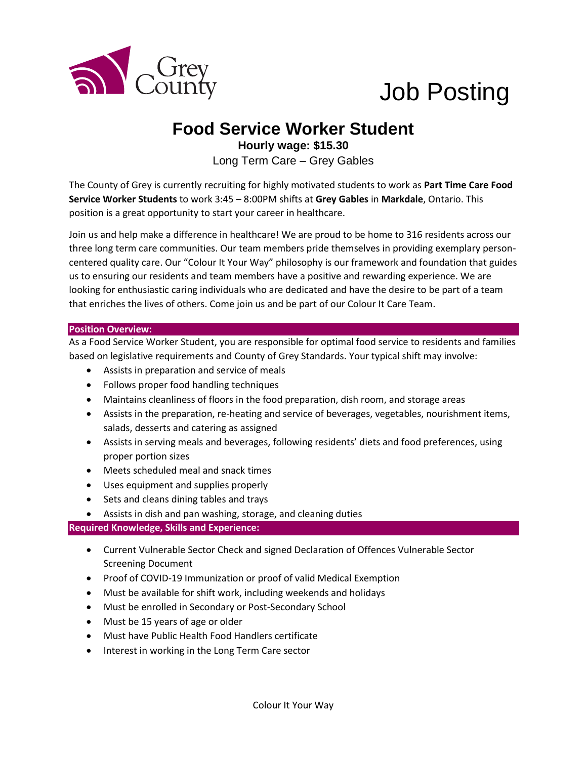

# Job Posting

## **Food Service Worker Student**

**Hourly wage: \$15.30** Long Term Care – Grey Gables

The County of Grey is currently recruiting for highly motivated students to work as **Part Time Care Food Service Worker Students** to work 3:45 – 8:00PM shifts at **Grey Gables** in **Markdale**, Ontario. This position is a great opportunity to start your career in healthcare.

Join us and help make a difference in healthcare! We are proud to be home to 316 residents across our three long term care communities. Our team members pride themselves in providing exemplary personcentered quality care. Our "Colour It Your Way" philosophy is our framework and foundation that guides us to ensuring our residents and team members have a positive and rewarding experience. We are looking for enthusiastic caring individuals who are dedicated and have the desire to be part of a team that enriches the lives of others. Come join us and be part of our Colour It Care Team.

#### **Position Overview:**

As a Food Service Worker Student, you are responsible for optimal food service to residents and families based on legislative requirements and County of Grey Standards. Your typical shift may involve:

- Assists in preparation and service of meals
- Follows proper food handling techniques
- Maintains cleanliness of floors in the food preparation, dish room, and storage areas
- Assists in the preparation, re-heating and service of beverages, vegetables, nourishment items, salads, desserts and catering as assigned
- Assists in serving meals and beverages, following residents' diets and food preferences, using proper portion sizes
- Meets scheduled meal and snack times
- Uses equipment and supplies properly
- Sets and cleans dining tables and trays
- Assists in dish and pan washing, storage, and cleaning duties

#### **Required Knowledge, Skills and Experience:**

- Current Vulnerable Sector Check and signed Declaration of Offences Vulnerable Sector Screening Document
- Proof of COVID-19 Immunization or proof of valid Medical Exemption
- Must be available for shift work, including weekends and holidays
- Must be enrolled in Secondary or Post-Secondary School
- Must be 15 years of age or older
- Must have Public Health Food Handlers certificate
- Interest in working in the Long Term Care sector